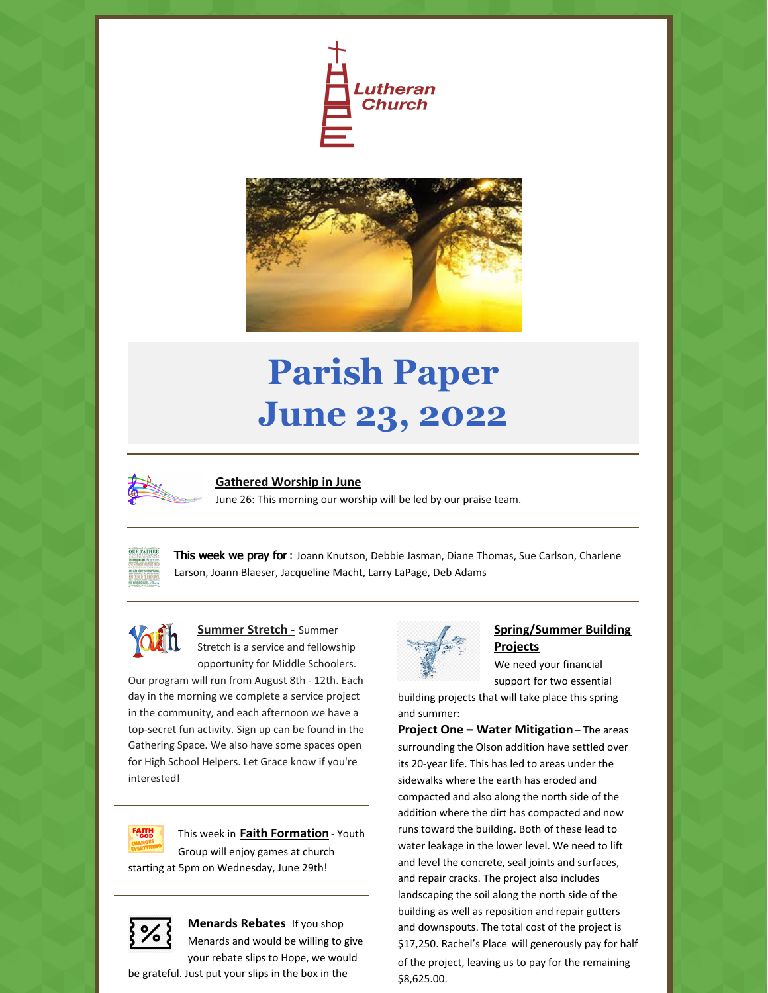



# **Parish Paper June 23, 2022**



#### **Gathered Worship in June**

June 26: This morning our worship will be led by our praise team.



This week we pray for : Joann Knutson, Debbie Jasman, Diane Thomas, Sue Carlson, Charlene Larson, Joann Blaeser, Jacqueline Macht, Larry LaPage, Deb Adams



#### **Summer Stretch -** Summer Stretch is a service and fellowship opportunity for Middle Schoolers.

Our program will run from August 8th - 12th. Each day in the morning we complete a service project in the community, and each afternoon we have a top-secret fun activity. Sign up can be found in the Gathering Space. We also have some spaces open for High School Helpers. Let Grace know if you're interested!



This week in **Faith Formation** - Youth Group will enjoy games at church

starting at 5pm on Wednesday, June 29th!



**Menards Rebates** If you shop Menards and would be willing to give your rebate slips to Hope, we would





## **Spring/Summer Building Projects**

We need your financial support for two essential

building projects that will take place this spring and summer:

**Project One – Water Mitigation**– The areas surrounding the Olson addition have settled over its 20-year life. This has led to areas under the sidewalks where the earth has eroded and compacted and also along the north side of the addition where the dirt has compacted and now runs toward the building. Both of these lead to water leakage in the lower level. We need to lift and level the concrete, seal joints and surfaces, and repair cracks. The project also includes landscaping the soil along the north side of the building as well as reposition and repair gutters and downspouts. The total cost of the project is \$17,250. Rachel's Place will generously pay for half of the project, leaving us to pay for the remaining \$8,625.00.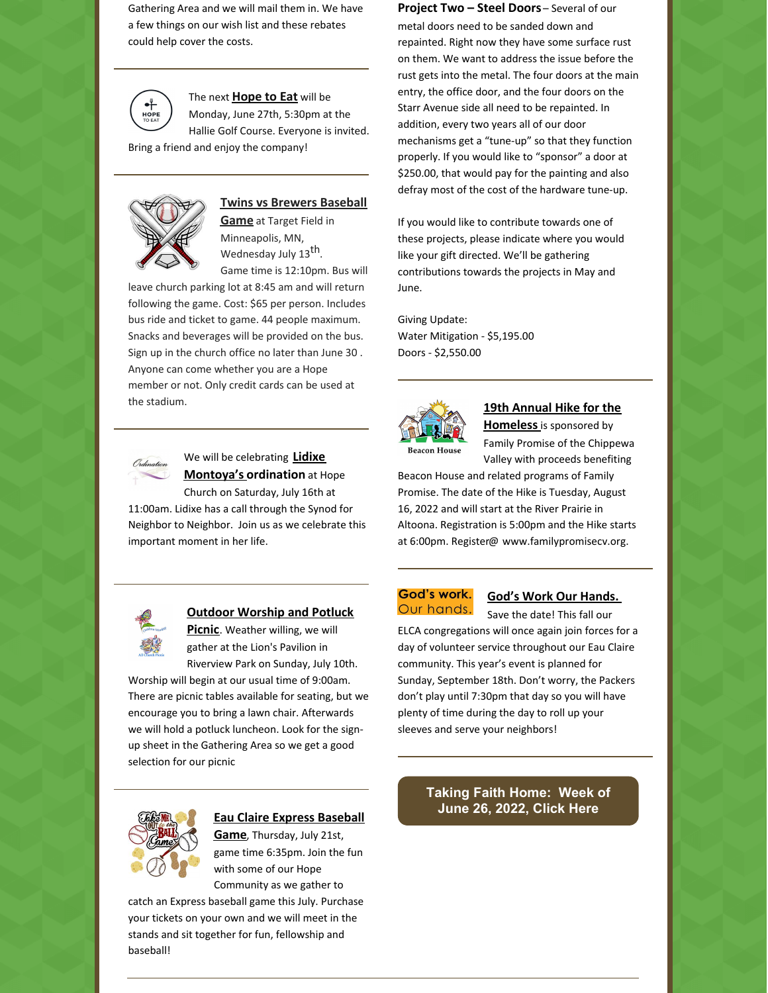Gathering Area and we will mail them in. We have a few things on our wish list and these rebates could help cover the costs.



The next **Hope to Eat** will be

Monday, June 27th, 5:30pm at the Hallie Golf Course. Everyone is invited.

Bring a friend and enjoy the company!



#### **Twins vs Brewers Baseball**

**Game** at Target Field in Minneapolis, MN, Wednesday July 13<sup>th</sup>. Game time is 12:10pm. Bus will

leave church parking lot at 8:45 am and will return following the game. Cost: \$65 per person. Includes bus ride and ticket to game. 44 people maximum. Snacks and beverages will be provided on the bus. Sign up in the church office no later than June 30 . Anyone can come whether you are a Hope member or not. Only credit cards can be used at the stadium.



#### We will be celebrating **Lidixe Montoya's ordination** at Hope Church on Saturday, July 16th at

11:00am. Lidixe has a call through the Synod for Neighbor to Neighbor. Join us as we celebrate this important moment in her life.



#### **Outdoor Worship and Potluck**

**Picnic**. Weather willing, we will gather at the Lion's Pavilion in Riverview Park on Sunday, July 10th.

Worship will begin at our usual time of 9:00am. There are picnic tables available for seating, but we encourage you to bring a lawn chair. Afterwards we will hold a potluck luncheon. Look for the signup sheet in the Gathering Area so we get a good selection for our picnic



#### **Eau Claire Express Baseball**

**Game**, Thursday, July 21st, game time 6:35pm. Join the fun with some of our Hope Community as we gather to

catch an Express baseball game this July. Purchase your tickets on your own and we will meet in the stands and sit together for fun, fellowship and baseball!

**Project Two – Steel Doors** – Several of our metal doors need to be sanded down and repainted. Right now they have some surface rust on them. We want to address the issue before the rust gets into the metal. The four doors at the main entry, the office door, and the four doors on the Starr Avenue side all need to be repainted. In addition, every two years all of our door mechanisms get a "tune-up" so that they function properly. If you would like to "sponsor" a door at \$250.00, that would pay for the painting and also defray most of the cost of the hardware tune-up.

If you would like to contribute towards one of these projects, please indicate where you would like your gift directed. We'll be gathering contributions towards the projects in May and June.

Giving Update: Water Mitigation - \$5,195.00 Doors - \$2,550.00



# **19th Annual Hike for the**

**Homeless**is sponsored by Family Promise of the Chippewa Valley with proceeds benefiting

Beacon House and related programs of Family Promise. The date of the Hike is Tuesday, August 16, 2022 and will start at the River Prairie in Altoona. Registration is 5:00pm and the Hike starts at 6:00pm. Register@ www.familypromisecv.org.

#### God's work. Our hands.

#### **God's Work Our Hands.**

Save the date! This fall our ELCA congregations will once again join forces for a day of volunteer service throughout our Eau Claire community. This year's event is planned for Sunday, September 18th. Don't worry, the Packers don't play until 7:30pm that day so you will have plenty of time during the day to roll up your sleeves and serve your neighbors!

### **[Taking](https://files.constantcontact.com/52934f5b001/dd18f19f-4a2f-4cfb-8828-2c02b95c5f7a.pdf?rdr=true) Faith Home: Week of June 26, 2022, Click Here**